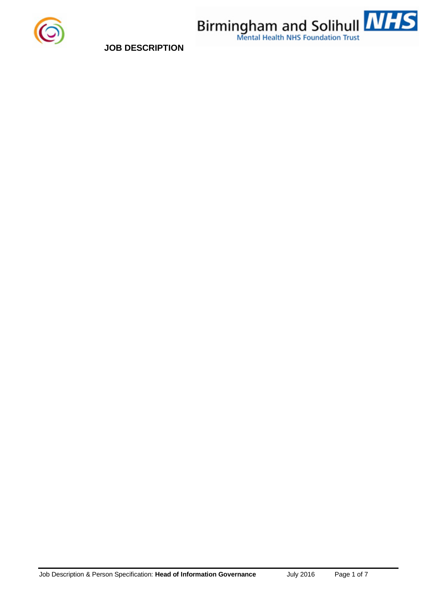



**JOB DESCRIPTION**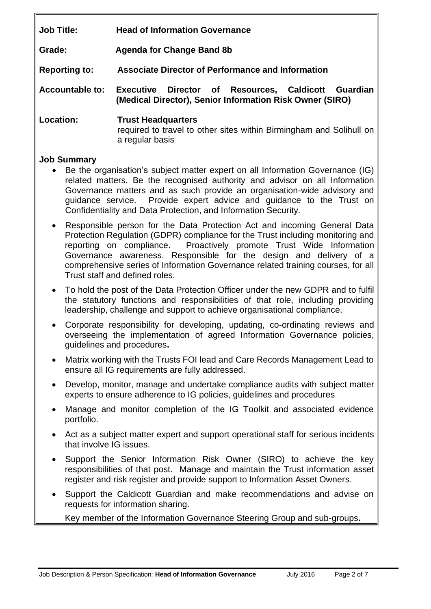**Job Title: Head of Information Governance**

**Grade: Agenda for Change Band 8b**

**Reporting to: Associate Director of Performance and Information**

**Accountable to: Executive Director of Resources, Caldicott Guardian (Medical Director), Senior Information Risk Owner (SIRO)**

**Location: Trust Headquarters** required to travel to other sites within Birmingham and Solihull on a regular basis

# **Job Summary**

- Be the organisation's subject matter expert on all Information Governance (IG) related matters. Be the recognised authority and advisor on all Information Governance matters and as such provide an organisation-wide advisory and guidance service. Provide expert advice and guidance to the Trust on Confidentiality and Data Protection, and Information Security.
- Responsible person for the Data Protection Act and incoming General Data Protection Regulation (GDPR) compliance for the Trust including monitoring and reporting on compliance.Proactively promote Trust Wide Information Governance awareness. Responsible for the design and delivery of a comprehensive series of Information Governance related training courses, for all Trust staff and defined roles.
- To hold the post of the Data Protection Officer under the new GDPR and to fulfil the statutory functions and responsibilities of that role, including providing leadership, challenge and support to achieve organisational compliance.
- Corporate responsibility for developing, updating, co-ordinating reviews and overseeing the implementation of agreed Information Governance policies, guidelines and procedures**.**
- Matrix working with the Trusts FOI lead and Care Records Management Lead to ensure all IG requirements are fully addressed.
- Develop, monitor, manage and undertake compliance audits with subject matter experts to ensure adherence to IG policies, guidelines and procedures
- Manage and monitor completion of the IG Toolkit and associated evidence portfolio.
- Act as a subject matter expert and support operational staff for serious incidents that involve IG issues.
- Support the Senior Information Risk Owner (SIRO) to achieve the key responsibilities of that post. Manage and maintain the Trust information asset register and risk register and provide support to Information Asset Owners.
- Support the Caldicott Guardian and make recommendations and advise on requests for information sharing.

Key member of the Information Governance Steering Group and sub-groups**.**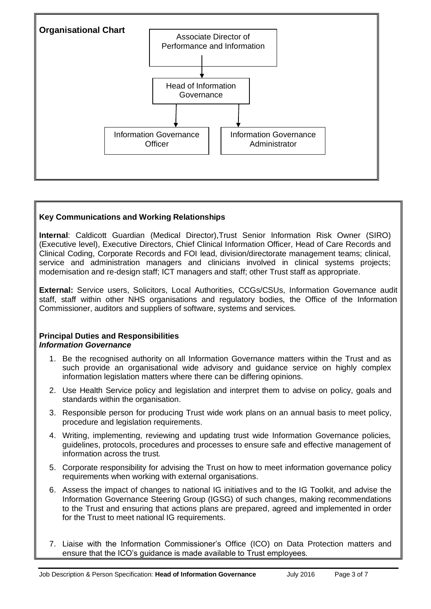

## **Key Communications and Working Relationships**

**Internal**: Caldicott Guardian (Medical Director),Trust Senior Information Risk Owner (SIRO) (Executive level), Executive Directors, Chief Clinical Information Officer, Head of Care Records and Clinical Coding, Corporate Records and FOI lead, division/directorate management teams; clinical, service and administration managers and clinicians involved in clinical systems projects; modernisation and re-design staff; ICT managers and staff; other Trust staff as appropriate.

**External:** Service users, Solicitors, Local Authorities, CCGs/CSUs, Information Governance audit staff, staff within other NHS organisations and regulatory bodies, the Office of the Information Commissioner, auditors and suppliers of software, systems and services.

## **Principal Duties and Responsibilities** *Information Governance*

- 1. Be the recognised authority on all Information Governance matters within the Trust and as such provide an organisational wide advisory and guidance service on highly complex information legislation matters where there can be differing opinions.
- 2. Use Health Service policy and legislation and interpret them to advise on policy, goals and standards within the organisation.
- 3. Responsible person for producing Trust wide work plans on an annual basis to meet policy, procedure and legislation requirements.
- 4. Writing, implementing, reviewing and updating trust wide Information Governance policies, guidelines, protocols, procedures and processes to ensure safe and effective management of information across the trust.
- 5. Corporate responsibility for advising the Trust on how to meet information governance policy requirements when working with external organisations.
- 6. Assess the impact of changes to national IG initiatives and to the IG Toolkit, and advise the Information Governance Steering Group (IGSG) of such changes, making recommendations to the Trust and ensuring that actions plans are prepared, agreed and implemented in order for the Trust to meet national IG requirements.
- 7. Liaise with the Information Commissioner's Office (ICO) on Data Protection matters and ensure that the ICO's guidance is made available to Trust employees.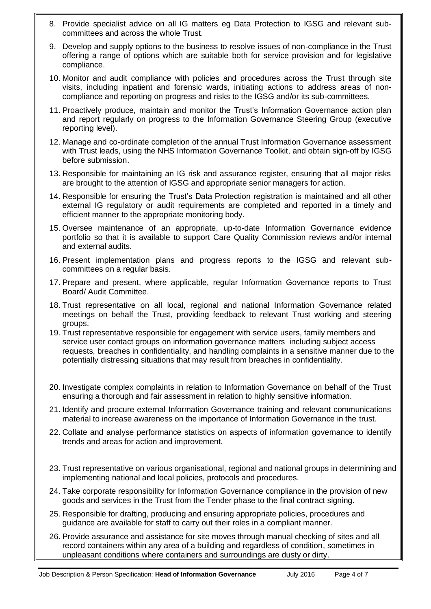- 8. Provide specialist advice on all IG matters eg Data Protection to IGSG and relevant subcommittees and across the whole Trust.
- 9. Develop and supply options to the business to resolve issues of non-compliance in the Trust offering a range of options which are suitable both for service provision and for legislative compliance.
- 10. Monitor and audit compliance with policies and procedures across the Trust through site visits, including inpatient and forensic wards, initiating actions to address areas of noncompliance and reporting on progress and risks to the IGSG and/or its sub-committees.
- 11. Proactively produce, maintain and monitor the Trust's Information Governance action plan and report regularly on progress to the Information Governance Steering Group (executive reporting level).
- 12. Manage and co-ordinate completion of the annual Trust Information Governance assessment with Trust leads, using the NHS Information Governance Toolkit, and obtain sign-off by IGSG before submission.
- 13. Responsible for maintaining an IG risk and assurance register, ensuring that all major risks are brought to the attention of IGSG and appropriate senior managers for action.
- 14. Responsible for ensuring the Trust's Data Protection registration is maintained and all other external IG regulatory or audit requirements are completed and reported in a timely and efficient manner to the appropriate monitoring body.
- 15. Oversee maintenance of an appropriate, up-to-date Information Governance evidence portfolio so that it is available to support Care Quality Commission reviews and/or internal and external audits.
- 16. Present implementation plans and progress reports to the IGSG and relevant subcommittees on a regular basis.
- 17. Prepare and present, where applicable, regular Information Governance reports to Trust Board/ Audit Committee.
- 18. Trust representative on all local, regional and national Information Governance related meetings on behalf the Trust, providing feedback to relevant Trust working and steering groups.
- 19. Trust representative responsible for engagement with service users, family members and service user contact groups on information governance matters including subject access requests, breaches in confidentiality, and handling complaints in a sensitive manner due to the potentially distressing situations that may result from breaches in confidentiality.
- 20. Investigate complex complaints in relation to Information Governance on behalf of the Trust ensuring a thorough and fair assessment in relation to highly sensitive information.
- 21. Identify and procure external Information Governance training and relevant communications material to increase awareness on the importance of Information Governance in the trust.
- 22. Collate and analyse performance statistics on aspects of information governance to identify trends and areas for action and improvement.
- 23. Trust representative on various organisational, regional and national groups in determining and implementing national and local policies, protocols and procedures.
- 24. Take corporate responsibility for Information Governance compliance in the provision of new goods and services in the Trust from the Tender phase to the final contract signing.
- 25. Responsible for drafting, producing and ensuring appropriate policies, procedures and guidance are available for staff to carry out their roles in a compliant manner.
- 26. Provide assurance and assistance for site moves through manual checking of sites and all record containers within any area of a building and regardless of condition, sometimes in unpleasant conditions where containers and surroundings are dusty or dirty.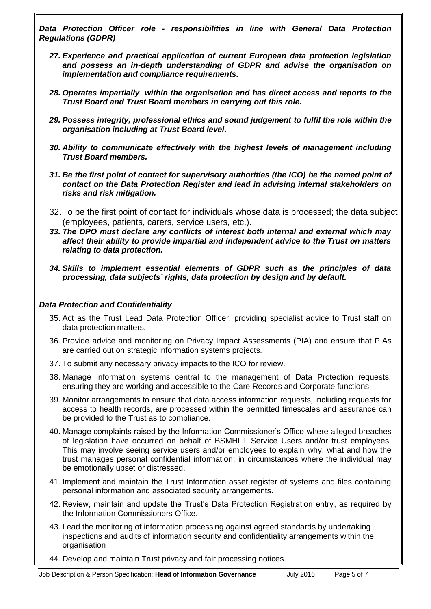*Data Protection Officer role - responsibilities in line with General Data Protection Regulations (GDPR)*

- *27. Experience and practical application of current European data protection legislation and possess an in-depth understanding of GDPR and advise the organisation on implementation and compliance requirements.*
- *28. Operates impartially within the organisation and has direct access and reports to the Trust Board and Trust Board members in carrying out this role.*
- *29. Possess integrity, professional ethics and sound judgement to fulfil the role within the organisation including at Trust Board level.*
- *30. Ability to communicate effectively with the highest levels of management including Trust Board members.*
- *31. Be the first point of contact for supervisory authorities (the ICO) be the named point of contact on the Data Protection Register and lead in advising internal stakeholders on risks and risk mitigation.*
- 32.To be the first point of contact for individuals whose data is processed; the data subject (employees, patients, carers, service users, etc.).
- *33. The DPO must declare any conflicts of interest both internal and external which may affect their ability to provide impartial and independent advice to the Trust on matters relating to data protection.*
- *34. Skills to implement essential elements of GDPR such as the principles of data processing, data subjects' rights, data protection by design and by default.*

### *Data Protection and Confidentiality*

- 35. Act as the Trust Lead Data Protection Officer, providing specialist advice to Trust staff on data protection matters.
- 36. Provide advice and monitoring on Privacy Impact Assessments (PIA) and ensure that PIAs are carried out on strategic information systems projects.
- 37. To submit any necessary privacy impacts to the ICO for review.
- 38. Manage information systems central to the management of Data Protection requests, ensuring they are working and accessible to the Care Records and Corporate functions.
- 39. Monitor arrangements to ensure that data access information requests, including requests for access to health records, are processed within the permitted timescales and assurance can be provided to the Trust as to compliance.
- 40. Manage complaints raised by the Information Commissioner's Office where alleged breaches of legislation have occurred on behalf of BSMHFT Service Users and/or trust employees. This may involve seeing service users and/or employees to explain why, what and how the trust manages personal confidential information; in circumstances where the individual may be emotionally upset or distressed.
- 41. Implement and maintain the Trust Information asset register of systems and files containing personal information and associated security arrangements.
- 42. Review, maintain and update the Trust's Data Protection Registration entry, as required by the Information Commissioners Office.
- 43. Lead the monitoring of information processing against agreed standards by undertaking inspections and audits of information security and confidentiality arrangements within the organisation
- 44. Develop and maintain Trust privacy and fair processing notices.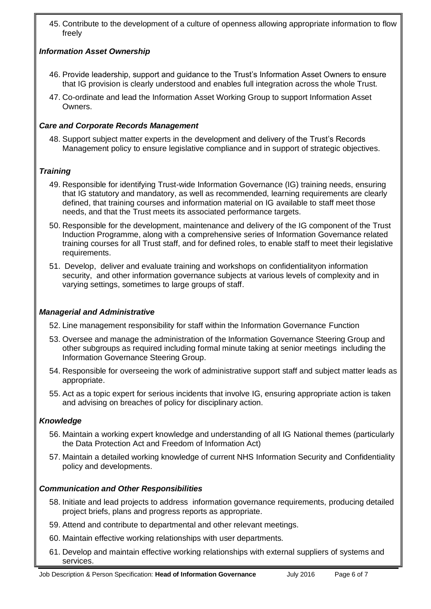45. Contribute to the development of a culture of openness allowing appropriate information to flow freely

## *Information Asset Ownership*

- 46. Provide leadership, support and guidance to the Trust's Information Asset Owners to ensure that IG provision is clearly understood and enables full integration across the whole Trust.
- 47. Co-ordinate and lead the Information Asset Working Group to support Information Asset Owners.

## *Care and Corporate Records Management*

48. Support subject matter experts in the development and delivery of the Trust's Records Management policy to ensure legislative compliance and in support of strategic objectives.

## *Training*

- 49. Responsible for identifying Trust-wide Information Governance (IG) training needs, ensuring that IG statutory and mandatory, as well as recommended, learning requirements are clearly defined, that training courses and information material on IG available to staff meet those needs, and that the Trust meets its associated performance targets.
- 50. Responsible for the development, maintenance and delivery of the IG component of the Trust Induction Programme, along with a comprehensive series of Information Governance related training courses for all Trust staff, and for defined roles, to enable staff to meet their legislative requirements.
- 51. Develop, deliver and evaluate training and workshops on confidentialityon information security, and other information governance subjects at various levels of complexity and in varying settings, sometimes to large groups of staff.

### *Managerial and Administrative*

- 52. Line management responsibility for staff within the Information Governance Function
- 53. Oversee and manage the administration of the Information Governance Steering Group and other subgroups as required including formal minute taking at senior meetings including the Information Governance Steering Group.
- 54. Responsible for overseeing the work of administrative support staff and subject matter leads as appropriate.
- 55. Act as a topic expert for serious incidents that involve IG, ensuring appropriate action is taken and advising on breaches of policy for disciplinary action.

### *Knowledge*

- 56. Maintain a working expert knowledge and understanding of all IG National themes (particularly the Data Protection Act and Freedom of Information Act)
- 57. Maintain a detailed working knowledge of current NHS Information Security and Confidentiality policy and developments.

# *Communication and Other Responsibilities*

- 58. Initiate and lead projects to address information governance requirements, producing detailed project briefs, plans and progress reports as appropriate.
- 59. Attend and contribute to departmental and other relevant meetings.
- 60. Maintain effective working relationships with user departments.
- 61. Develop and maintain effective working relationships with external suppliers of systems and services.